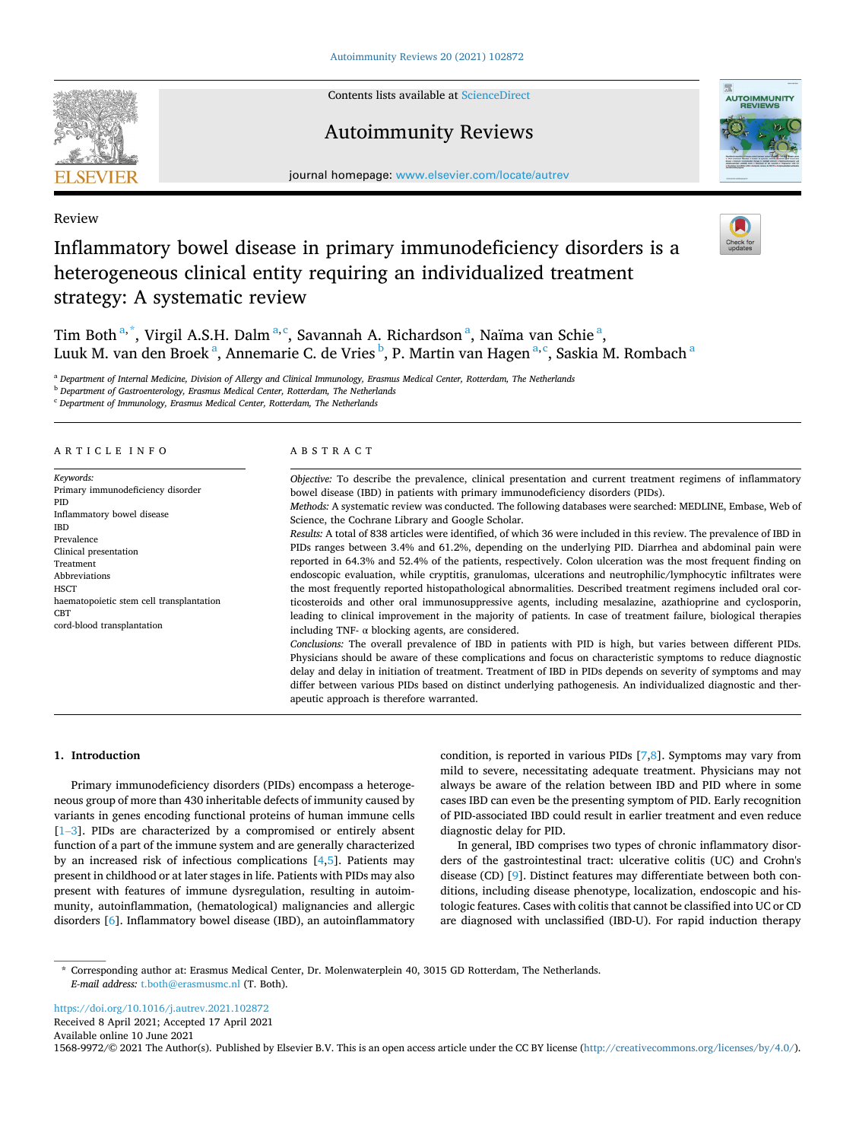Contents lists available at [ScienceDirect](www.sciencedirect.com/science/journal/15689972)

# Autoimmunity Reviews

journal homepage: [www.elsevier.com/locate/autrev](https://www.elsevier.com/locate/autrev)

Review

# Inflammatory bowel disease in primary immunodeficiency disorders is a heterogeneous clinical entity requiring an individualized treatment strategy: A systematic review

Tim Both<sup>a,\*</sup>, Virgil A.S.H. Dalm<sup>a,c</sup>, Savannah A. Richardson<sup>a</sup>, Naïma van Schie<sup>a</sup>, Luuk M. van den Broek <sup>a</sup>, Annemarie C. de Vries <sup>b</sup>, P. Martin van Hagen <sup>a, c</sup>, Saskia M. Rombach <sup>a</sup>

<sup>a</sup> *Department of Internal Medicine, Division of Allergy and Clinical Immunology, Erasmus Medical Center, Rotterdam, The Netherlands* 

<sup>b</sup> *Department of Gastroenterology, Erasmus Medical Center, Rotterdam, The Netherlands* 

<sup>c</sup> *Department of Immunology, Erasmus Medical Center, Rotterdam, The Netherlands* 

#### ARTICLE INFO *Keywords:*  Primary immunodeficiency disorder PID Inflammatory bowel disease IBD Prevalence Clinical presentation Treatment Abbreviations **HSCT** haematopoietic stem cell transplantation **CBT** cord-blood transplantation ABSTRACT *Objective:* To describe the prevalence, clinical presentation and current treatment regimens of inflammatory bowel disease (IBD) in patients with primary immunodeficiency disorders (PIDs). *Methods:* A systematic review was conducted. The following databases were searched: MEDLINE, Embase, Web of Science, the Cochrane Library and Google Scholar. *Results:* A total of 838 articles were identified, of which 36 were included in this review. The prevalence of IBD in PIDs ranges between 3.4% and 61.2%, depending on the underlying PID. Diarrhea and abdominal pain were reported in 64.3% and 52.4% of the patients, respectively. Colon ulceration was the most frequent finding on endoscopic evaluation, while cryptitis, granulomas, ulcerations and neutrophilic/lymphocytic infiltrates were the most frequently reported histopathological abnormalities. Described treatment regimens included oral corticosteroids and other oral immunosuppressive agents, including mesalazine, azathioprine and cyclosporin, leading to clinical improvement in the majority of patients. In case of treatment failure, biological therapies including TNF- $\alpha$  blocking agents, are considered. *Conclusions:* The overall prevalence of IBD in patients with PID is high, but varies between different PIDs. Physicians should be aware of these complications and focus on characteristic symptoms to reduce diagnostic delay and delay in initiation of treatment. Treatment of IBD in PIDs depends on severity of symptoms and may differ between various PIDs based on distinct underlying pathogenesis. An individualized diagnostic and therapeutic approach is therefore warranted.

## **1. Introduction**

Primary immunodeficiency disorders (PIDs) encompass a heterogeneous group of more than 430 inheritable defects of immunity caused by variants in genes encoding functional proteins of human immune cells [1–[3\]](#page-6-0). PIDs are characterized by a compromised or entirely absent function of a part of the immune system and are generally characterized by an increased risk of infectious complications [\[4,5](#page-6-0)]. Patients may present in childhood or at later stages in life. Patients with PIDs may also present with features of immune dysregulation, resulting in autoimmunity, autoinflammation, (hematological) malignancies and allergic disorders [[6](#page-6-0)]. Inflammatory bowel disease (IBD), an autoinflammatory

condition, is reported in various PIDs [\[7,8](#page-6-0)]. Symptoms may vary from mild to severe, necessitating adequate treatment. Physicians may not always be aware of the relation between IBD and PID where in some cases IBD can even be the presenting symptom of PID. Early recognition of PID-associated IBD could result in earlier treatment and even reduce diagnostic delay for PID.

In general, IBD comprises two types of chronic inflammatory disorders of the gastrointestinal tract: ulcerative colitis (UC) and Crohn's disease (CD) [\[9\]](#page-6-0). Distinct features may differentiate between both conditions, including disease phenotype, localization, endoscopic and histologic features. Cases with colitis that cannot be classified into UC or CD are diagnosed with unclassified (IBD-U). For rapid induction therapy

<https://doi.org/10.1016/j.autrev.2021.102872>

Received 8 April 2021; Accepted 17 April 2021

Available online 10 June 2021

1568-9972/© 2021 The Author(s). Published by Elsevier B.V. This is an open access article under the CC BY license [\(http://creativecommons.org/licenses/by/4.0/\)](http://creativecommons.org/licenses/by/4.0/).







<sup>\*</sup> Corresponding author at: Erasmus Medical Center, Dr. Molenwaterplein 40, 3015 GD Rotterdam, The Netherlands. *E-mail address:* [t.both@erasmusmc.nl](mailto:t.both@erasmusmc.nl) (T. Both).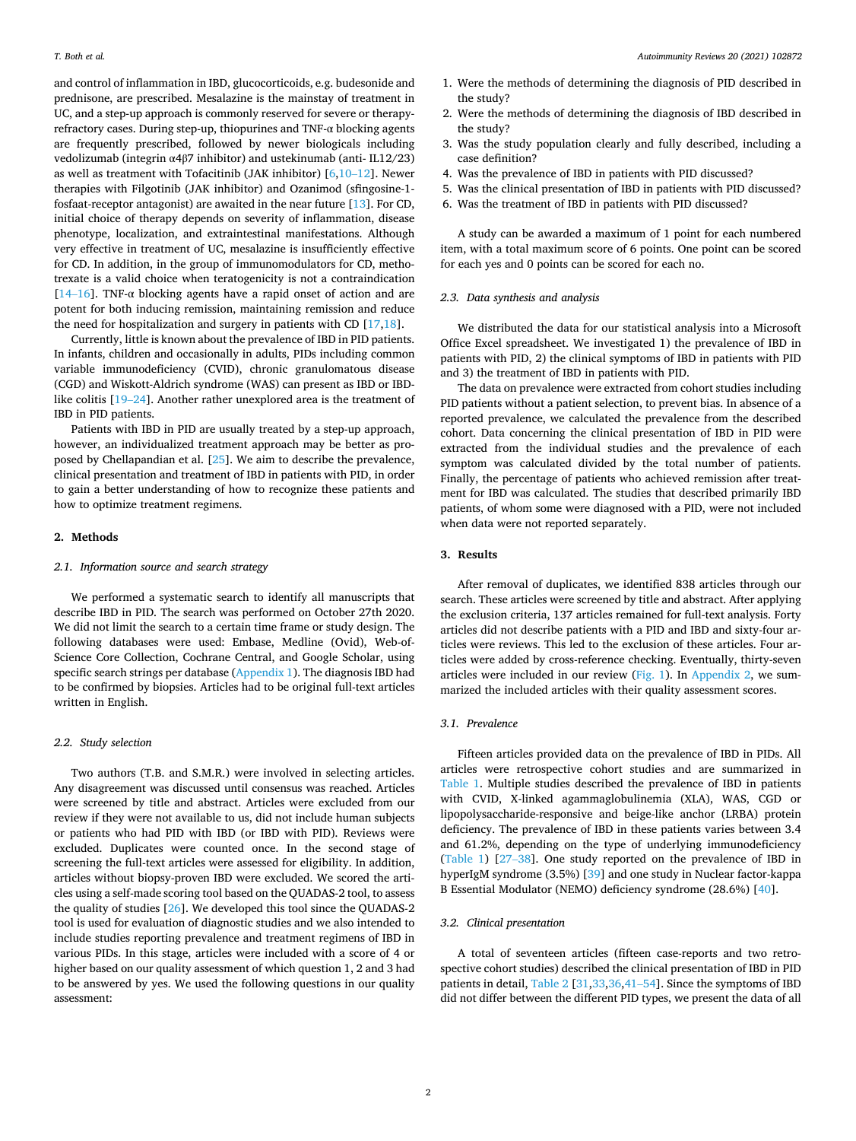and control of inflammation in IBD, glucocorticoids, e.g. budesonide and prednisone, are prescribed. Mesalazine is the mainstay of treatment in UC, and a step-up approach is commonly reserved for severe or therapyrefractory cases. During step-up, thiopurines and TNF-α blocking agents are frequently prescribed, followed by newer biologicals including vedolizumab (integrin α4β7 inhibitor) and ustekinumab (anti- IL12/23) as well as treatment with Tofacitinib (JAK inhibitor)  $[6,10-12]$  $[6,10-12]$  $[6,10-12]$ . Newer therapies with Filgotinib (JAK inhibitor) and Ozanimod (sfingosine-1 fosfaat-receptor antagonist) are awaited in the near future [[13\]](#page-7-0). For CD, initial choice of therapy depends on severity of inflammation, disease phenotype, localization, and extraintestinal manifestations. Although very effective in treatment of UC, mesalazine is insufficiently effective for CD. In addition, in the group of immunomodulators for CD, methotrexate is a valid choice when teratogenicity is not a contraindication [ $14-16$ ]. TNF- $\alpha$  blocking agents have a rapid onset of action and are potent for both inducing remission, maintaining remission and reduce the need for hospitalization and surgery in patients with CD [[17,18](#page-7-0)].

Currently, little is known about the prevalence of IBD in PID patients. In infants, children and occasionally in adults, PIDs including common variable immunodeficiency (CVID), chronic granulomatous disease (CGD) and Wiskott-Aldrich syndrome (WAS) can present as IBD or IBDlike colitis [19–[24\]](#page-7-0). Another rather unexplored area is the treatment of IBD in PID patients.

Patients with IBD in PID are usually treated by a step-up approach, however, an individualized treatment approach may be better as proposed by Chellapandian et al. [[25\]](#page-7-0). We aim to describe the prevalence, clinical presentation and treatment of IBD in patients with PID, in order to gain a better understanding of how to recognize these patients and how to optimize treatment regimens.

## **2. Methods**

## *2.1. Information source and search strategy*

We performed a systematic search to identify all manuscripts that describe IBD in PID. The search was performed on October 27th 2020. We did not limit the search to a certain time frame or study design. The following databases were used: Embase, Medline (Ovid), Web-of-Science Core Collection, Cochrane Central, and Google Scholar, using specific search strings per database [\(Appendix 1](#page-5-0)). The diagnosis IBD had to be confirmed by biopsies. Articles had to be original full-text articles written in English.

## *2.2. Study selection*

Two authors (T.B. and S.M.R.) were involved in selecting articles. Any disagreement was discussed until consensus was reached. Articles were screened by title and abstract. Articles were excluded from our review if they were not available to us, did not include human subjects or patients who had PID with IBD (or IBD with PID). Reviews were excluded. Duplicates were counted once. In the second stage of screening the full-text articles were assessed for eligibility. In addition, articles without biopsy-proven IBD were excluded. We scored the articles using a self-made scoring tool based on the QUADAS-2 tool, to assess the quality of studies [[26\]](#page-7-0). We developed this tool since the QUADAS-2 tool is used for evaluation of diagnostic studies and we also intended to include studies reporting prevalence and treatment regimens of IBD in various PIDs. In this stage, articles were included with a score of 4 or higher based on our quality assessment of which question 1, 2 and 3 had to be answered by yes. We used the following questions in our quality assessment:

- 1. Were the methods of determining the diagnosis of PID described in the study?
- 2. Were the methods of determining the diagnosis of IBD described in the study?
- 3. Was the study population clearly and fully described, including a case definition?
- 4. Was the prevalence of IBD in patients with PID discussed?
- 5. Was the clinical presentation of IBD in patients with PID discussed?
- 6. Was the treatment of IBD in patients with PID discussed?

A study can be awarded a maximum of 1 point for each numbered item, with a total maximum score of 6 points. One point can be scored for each yes and 0 points can be scored for each no.

## *2.3. Data synthesis and analysis*

We distributed the data for our statistical analysis into a Microsoft Office Excel spreadsheet. We investigated 1) the prevalence of IBD in patients with PID, 2) the clinical symptoms of IBD in patients with PID and 3) the treatment of IBD in patients with PID.

The data on prevalence were extracted from cohort studies including PID patients without a patient selection, to prevent bias. In absence of a reported prevalence, we calculated the prevalence from the described cohort. Data concerning the clinical presentation of IBD in PID were extracted from the individual studies and the prevalence of each symptom was calculated divided by the total number of patients. Finally, the percentage of patients who achieved remission after treatment for IBD was calculated. The studies that described primarily IBD patients, of whom some were diagnosed with a PID, were not included when data were not reported separately.

### **3. Results**

After removal of duplicates, we identified 838 articles through our search. These articles were screened by title and abstract. After applying the exclusion criteria, 137 articles remained for full-text analysis. Forty articles did not describe patients with a PID and IBD and sixty-four articles were reviews. This led to the exclusion of these articles. Four articles were added by cross-reference checking. Eventually, thirty-seven articles were included in our review ([Fig. 1](#page-2-0)). In [Appendix 2](#page-6-0), we summarized the included articles with their quality assessment scores.

#### *3.1. Prevalence*

Fifteen articles provided data on the prevalence of IBD in PIDs. All articles were retrospective cohort studies and are summarized in [Table 1.](#page-2-0) Multiple studies described the prevalence of IBD in patients with CVID, X-linked agammaglobulinemia (XLA), WAS, CGD or lipopolysaccharide-responsive and beige-like anchor (LRBA) protein deficiency. The prevalence of IBD in these patients varies between 3.4 and 61.2%, depending on the type of underlying immunodeficiency ([Table 1](#page-2-0)) [[27](#page-7-0)–38]. One study reported on the prevalence of IBD in hyperIgM syndrome (3.5%) [[39\]](#page-7-0) and one study in Nuclear factor-kappa B Essential Modulator (NEMO) deficiency syndrome (28.6%) [[40\]](#page-7-0).

# *3.2. Clinical presentation*

A total of seventeen articles (fifteen case-reports and two retrospective cohort studies) described the clinical presentation of IBD in PID patients in detail, [Table 2](#page-3-0) [\[31,33,36](#page-7-0),41–[54\]](#page-7-0). Since the symptoms of IBD did not differ between the different PID types, we present the data of all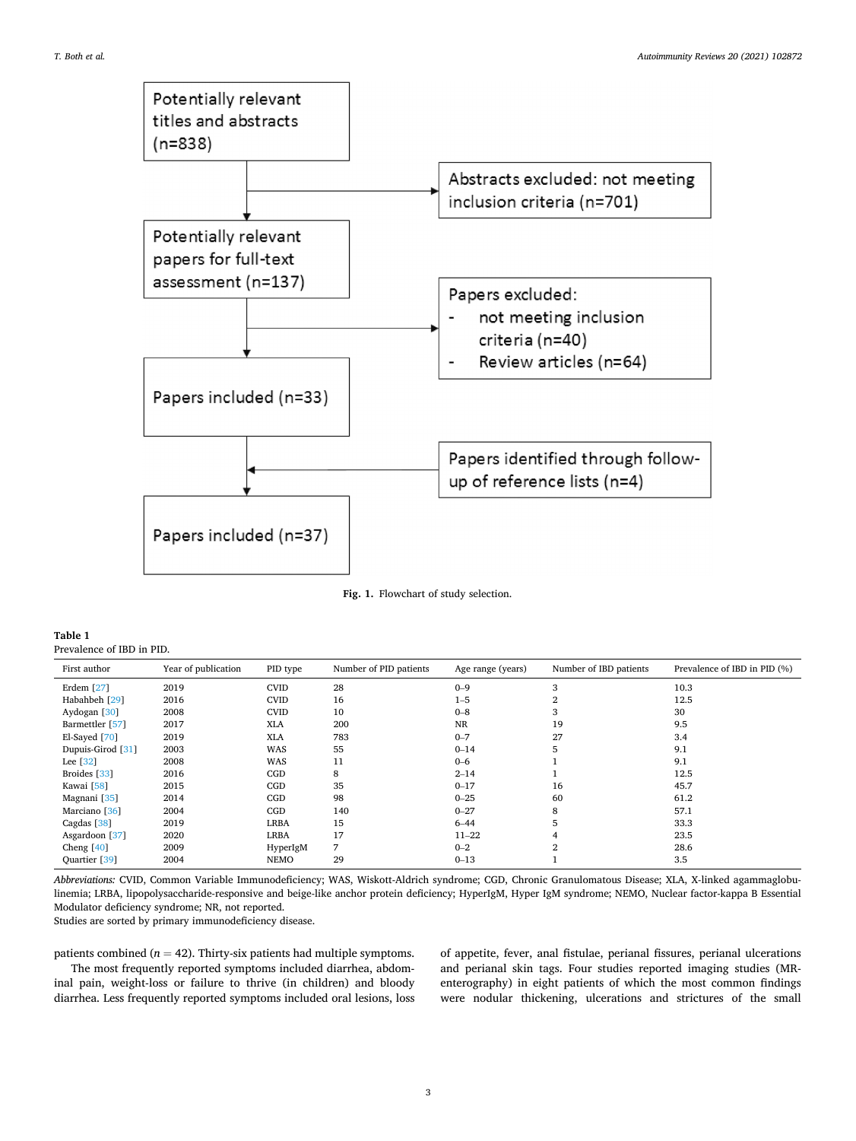<span id="page-2-0"></span>

**Fig. 1.** Flowchart of study selection.

| Table 1                   |  |
|---------------------------|--|
| Prevalence of IBD in PID. |  |

| First author             | Year of publication | PID type    | Number of PID patients | Age range (years) | Number of IBD patients | Prevalence of IBD in PID (%) |
|--------------------------|---------------------|-------------|------------------------|-------------------|------------------------|------------------------------|
| Erdem $[27]$             | 2019                | <b>CVID</b> | 28                     | $0 - 9$           | 3                      | 10.3                         |
| Habahbeh [29]            | 2016                | <b>CVID</b> | 16                     | $1 - 5$           | $\overline{2}$         | 12.5                         |
| Aydogan [30]             | 2008                | <b>CVID</b> | 10                     | $0 - 8$           | 3                      | 30                           |
| Barmettler [57]          | 2017                | XLA         | 200                    | <b>NR</b>         | 19                     | 9.5                          |
| El-Sayed [70]            | 2019                | <b>XLA</b>  | 783                    | $0 - 7$           | 27                     | 3.4                          |
| Dupuis-Girod [31]        | 2003                | <b>WAS</b>  | 55                     | $0 - 14$          | 5                      | 9.1                          |
| Lee [32]                 | 2008                | WAS         | 11                     | $0 - 6$           |                        | 9.1                          |
| Broides [33]             | 2016                | CGD         | 8                      | $2 - 14$          |                        | 12.5                         |
| Kawai [58]               | 2015                | CGD         | 35                     | $0 - 17$          | 16                     | 45.7                         |
| Magnani [35]             | 2014                | CGD         | 98                     | $0 - 25$          | 60                     | 61.2                         |
| Marciano <sup>[36]</sup> | 2004                | CGD         | 140                    | $0 - 27$          | 8                      | 57.1                         |
| Cagdas [38]              | 2019                | <b>LRBA</b> | 15                     | $6 - 44$          | 5                      | 33.3                         |
| Asgardoon [37]           | 2020                | <b>LRBA</b> | 17                     | $11 - 22$         | $\overline{4}$         | 23.5                         |
| Cheng $[40]$             | 2009                | HyperIgM    | 7                      | $0 - 2$           | $\overline{2}$         | 28.6                         |
| Quartier [39]            | 2004                | <b>NEMO</b> | 29                     | $0 - 13$          |                        | 3.5                          |

*Abbreviations:* CVID, Common Variable Immunodeficiency; WAS, Wiskott-Aldrich syndrome; CGD, Chronic Granulomatous Disease; XLA, X-linked agammaglobulinemia; LRBA, lipopolysaccharide-responsive and beige-like anchor protein deficiency; HyperIgM, Hyper IgM syndrome; NEMO, Nuclear factor-kappa B Essential Modulator deficiency syndrome; NR, not reported.

Studies are sorted by primary immunodeficiency disease.

patients combined ( $n = 42$ ). Thirty-six patients had multiple symptoms.

The most frequently reported symptoms included diarrhea, abdominal pain, weight-loss or failure to thrive (in children) and bloody diarrhea. Less frequently reported symptoms included oral lesions, loss of appetite, fever, anal fistulae, perianal fissures, perianal ulcerations and perianal skin tags. Four studies reported imaging studies (MRenterography) in eight patients of which the most common findings were nodular thickening, ulcerations and strictures of the small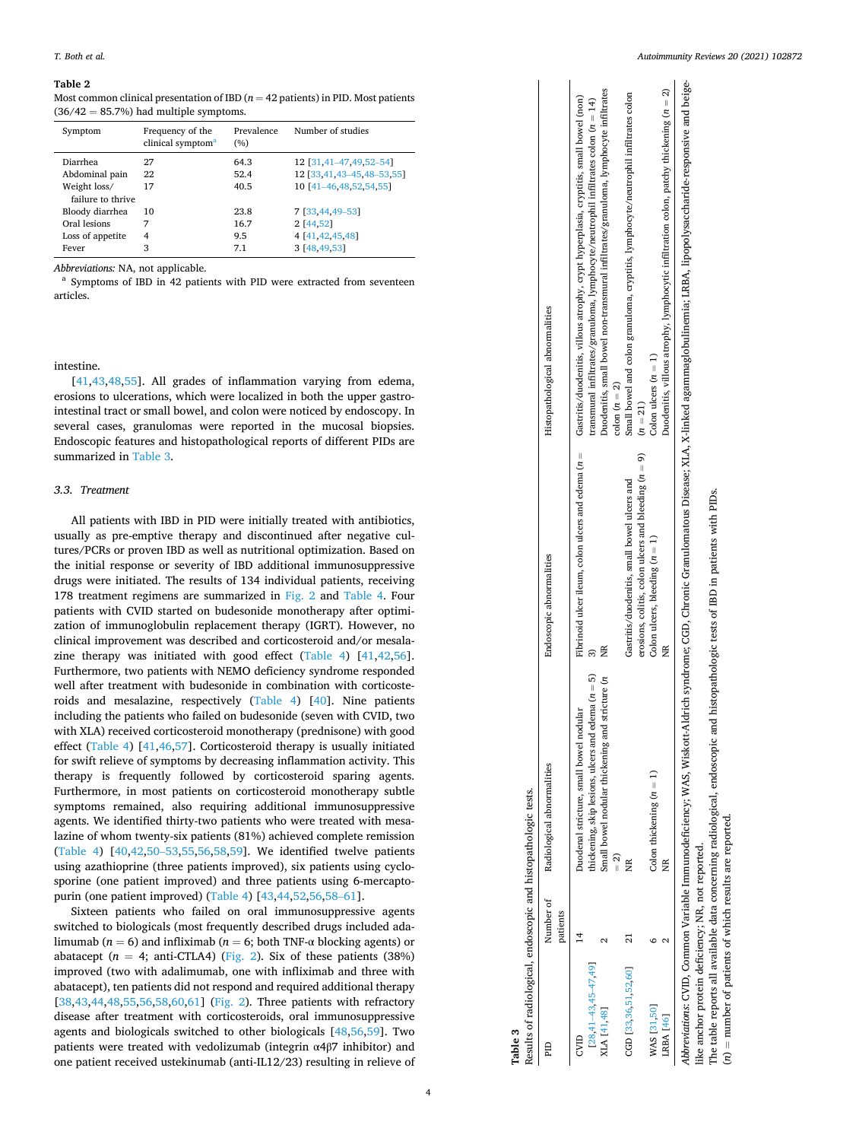#### <span id="page-3-0"></span>**Table 2**

Most common clinical presentation of IBD ( $n = 42$  patients) in PID. Most patients  $(36/42 = 85.7%)$  had multiple symptoms.

| Symptom                           | Frequency of the<br>clinical symptom <sup>a</sup> | Prevalence<br>(%) | Number of studies         |
|-----------------------------------|---------------------------------------------------|-------------------|---------------------------|
| Diarrhea                          | 27                                                | 64.3              | 12 [31,41-47,49,52-54]    |
| Abdominal pain                    | 22                                                | 52.4              | 12 [33,41,43-45,48-53,55] |
| Weight loss/<br>failure to thrive | 17                                                | 40.5              | 10 [41-46,48,52,54,55]    |
| Bloody diarrhea                   | 10                                                | 23.8              | 7 [33,44,49-53]           |
| Oral lesions                      | 7                                                 | 16.7              | 2 [44,52]                 |
| Loss of appetite                  | 4                                                 | 9.5               | 4   41 42 45 48           |
| Fever                             | 3                                                 | 7.1               | 3 [48,49,53]              |

*Abbreviations:* NA, not applicable.<br><sup>a</sup> Symptoms of IBD in 42 patients with PID were extracted from seventeen articles.

#### intestine.

[[41,43,48](#page-7-0),[55\]](#page-7-0). All grades of inflammation varying from edema, erosions to ulcerations, which were localized in both the upper gastrointestinal tract or small bowel, and colon were noticed by endoscopy. In several cases, granulomas were reported in the mucosal biopsies. Endoscopic features and histopathological reports of different PIDs are summarized in Table 3.

### *3.3. Treatment*

All patients with IBD in PID were initially treated with antibiotics, usually as pre-emptive therapy and discontinued after negative cultures/PCRs or proven IBD as well as nutritional optimization. Based on the initial response or severity of IBD additional immunosuppressive drugs were initiated. The results of 134 individual patients, receiving 178 treatment regimens are summarized in [Fig. 2](#page-4-0) and [Table 4.](#page-5-0) Four patients with CVID started on budesonide monotherapy after optimization of immunoglobulin replacement therapy (IGRT). However, no clinical improvement was described and corticosteroid and/or mesalazine therapy was initiated with good effect ([Table 4](#page-5-0)) [[41,42,56](#page-7-0)]. Furthermore, two patients with NEMO deficiency syndrome responded well after treatment with budesonide in combination with corticosteroids and mesalazine, respectively ([Table 4](#page-5-0)) [\[40](#page-7-0)]. Nine patients including the patients who failed on budesonide (seven with CVID, two with XLA) received corticosteroid monotherapy (prednisone) with good effect [\(Table 4](#page-5-0)) [\[41](#page-7-0),[46,57\]](#page-7-0). Corticosteroid therapy is usually initiated for swift relieve of symptoms by decreasing inflammation activity. This therapy is frequently followed by corticosteroid sparing agents. Furthermore, in most patients on corticosteroid monotherapy subtle symptoms remained, also requiring additional immunosuppressive agents. We identified thirty-two patients who were treated with mesalazine of whom twenty-six patients (81%) achieved complete remission ([Table 4](#page-5-0)) [[40,42,50](#page-7-0)–53[,55](#page-7-0),[56,58,59\]](#page-7-0). We identified twelve patients using azathioprine (three patients improved), six patients using cyclosporine (one patient improved) and three patients using 6-mercaptopurin (one patient improved) [\(Table 4\)](#page-5-0) [[43,44,52,56,58](#page-7-0)–61].

Sixteen patients who failed on oral immunosuppressive agents switched to biologicals (most frequently described drugs included adalimumab ( $n = 6$ ) and infliximab ( $n = 6$ ; both TNF- $\alpha$  blocking agents) or abatacept  $(n = 4; \text{anti-CTLA4})$  [\(Fig. 2\)](#page-4-0). Six of these patients (38%) improved (two with adalimumab, one with infliximab and three with abatacept), ten patients did not respond and required additional therapy [[38,43,44](#page-7-0),[48,55,56,58,60](#page-7-0),[61\]](#page-7-0) [\(Fig. 2\)](#page-4-0). Three patients with refractory disease after treatment with corticosteroids, oral immunosuppressive agents and biologicals switched to other biologicals [[48,56,59](#page-7-0)]. Two patients were treated with vedolizumab (integrin  $\alpha$ 4 $\beta$ 7 inhibitor) and one patient received ustekinumab (anti-IL12/23) resulting in relieve of

|                                                   | patients | Number of Radiological abnormalities                                                           | Endoscopic abnormalities                                                                               | Histopathological abnormalities                                                                                                                                                                             |
|---------------------------------------------------|----------|------------------------------------------------------------------------------------------------|--------------------------------------------------------------------------------------------------------|-------------------------------------------------------------------------------------------------------------------------------------------------------------------------------------------------------------|
| $[28, 41 - 43, 45 - 47, 49]$<br>CVID              |          | hickening, skip lesions, ulcers and edema $(n = 5)$<br>Duodenal stricture, small bowel nodular | Fibrinoid ulcer ileum, colon ulcers and edema $(n =$                                                   | Gastritis/duodenitis, villous atrophy, crypt hyperplasia, cryptitis, small bowel (non)<br>transmural infiltrates/granuloma, lymphocyte/neutrophil infiltrates colon (n = 14)                                |
| XLA [41,48]                                       |          | Small bowel nodular thickening and stricture (n                                                |                                                                                                        | Duodenitis, small bowel non-transmural infiltrates/granuloma, lymphocyte infiltrates<br>colon $(n = 2)$                                                                                                     |
| CGD [33,36,51,52,60]                              |          | Ĕ                                                                                              | erosions, colitis, colon ulcers and bleeding $(n = 9)$<br>Gastritis/duodenitis, small bowel ulcers and | Small bowel and colon granuloma, cryptitis, lymphocyte/neutrophil infiltrates colon<br>$(n = 21)$                                                                                                           |
| WAS [31,50]<br>LRBA [46]                          |          | Colon thickening $(n = 1)$                                                                     | Colon ulcers, bleeding $(n = 1)$                                                                       | Duodenitis, villous atrophy, lymphocytic infiltration colon, patchy thickening $(n = 2)$<br>Colon ulcers $(n = 1)$                                                                                          |
| like anchor protein deficiency; NR, not reported. |          |                                                                                                |                                                                                                        | Abbreviations: CVID, Common Variable Immunodeficiency; WAS, Wiskott-Aldrich syndroine; GCD, Chronic Granulomatous Disease; XLA, X-linked agammaglobulinemia; LRBA, lipopolysaccharide-responsive and beige- |

The table reports all available data concerning radiological, endoscopic and histopathologic tests of IBD in patients with PIDs. The table reports all available data concerning radiological, endoscopic and histopathologic tests of IBD in patients with PIDs (*n*) = number of patients of which results are reported. results are reported.  $(n)$  = number of patients of which

**Table 3**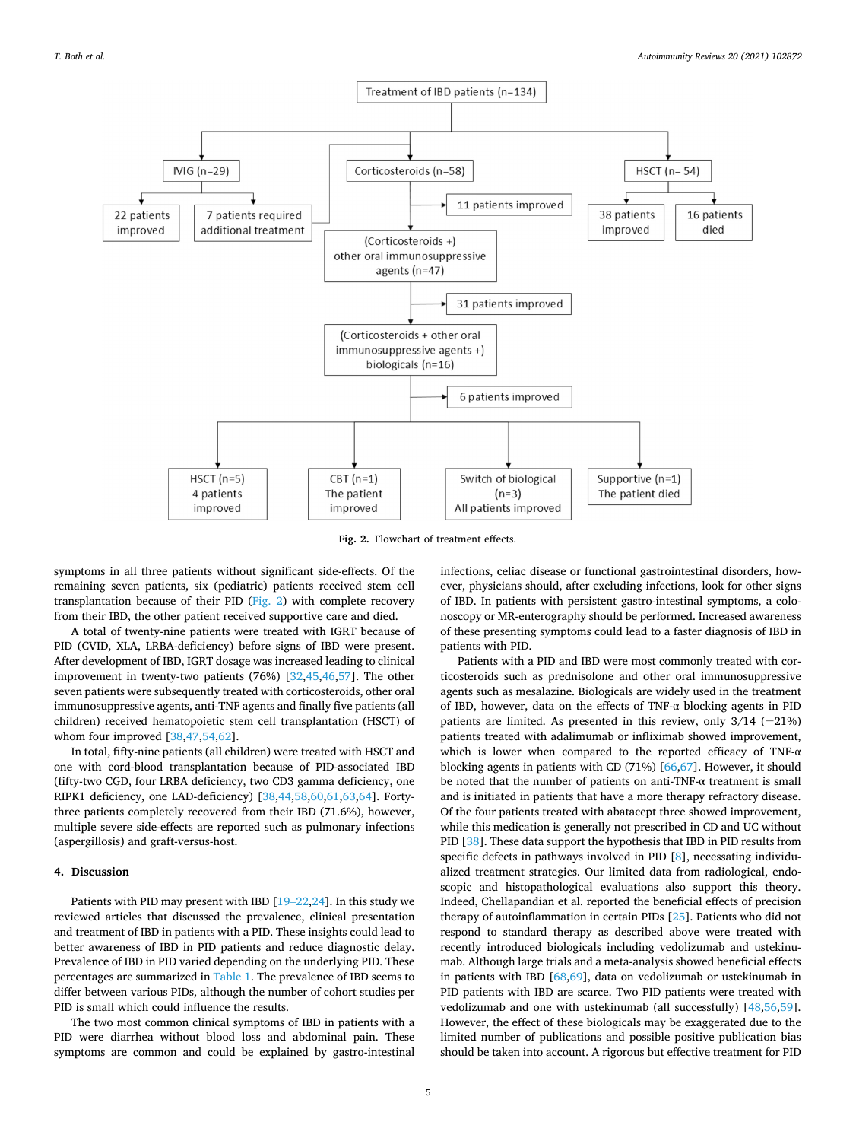<span id="page-4-0"></span>

**Fig. 2.** Flowchart of treatment effects.

symptoms in all three patients without significant side-effects. Of the remaining seven patients, six (pediatric) patients received stem cell transplantation because of their PID (Fig. 2) with complete recovery from their IBD, the other patient received supportive care and died.

A total of twenty-nine patients were treated with IGRT because of PID (CVID, XLA, LRBA-deficiency) before signs of IBD were present. After development of IBD, IGRT dosage was increased leading to clinical improvement in twenty-two patients (76%) [[32,45,46,57](#page-7-0)]. The other seven patients were subsequently treated with corticosteroids, other oral immunosuppressive agents, anti-TNF agents and finally five patients (all children) received hematopoietic stem cell transplantation (HSCT) of whom four improved [\[38](#page-7-0),[47,54,62\]](#page-7-0).

In total, fifty-nine patients (all children) were treated with HSCT and one with cord-blood transplantation because of PID-associated IBD (fifty-two CGD, four LRBA deficiency, two CD3 gamma deficiency, one RIPK1 deficiency, one LAD-deficiency) [[38,44,58,60,61](#page-7-0),[63,64\]](#page-7-0). Fortythree patients completely recovered from their IBD (71.6%), however, multiple severe side-effects are reported such as pulmonary infections (aspergillosis) and graft-versus-host.

# **4. Discussion**

Patients with PID may present with IBD [19–[22,24](#page-7-0)]. In this study we reviewed articles that discussed the prevalence, clinical presentation and treatment of IBD in patients with a PID. These insights could lead to better awareness of IBD in PID patients and reduce diagnostic delay. Prevalence of IBD in PID varied depending on the underlying PID. These percentages are summarized in [Table 1.](#page-2-0) The prevalence of IBD seems to differ between various PIDs, although the number of cohort studies per PID is small which could influence the results.

The two most common clinical symptoms of IBD in patients with a PID were diarrhea without blood loss and abdominal pain. These symptoms are common and could be explained by gastro-intestinal infections, celiac disease or functional gastrointestinal disorders, however, physicians should, after excluding infections, look for other signs of IBD. In patients with persistent gastro-intestinal symptoms, a colonoscopy or MR-enterography should be performed. Increased awareness of these presenting symptoms could lead to a faster diagnosis of IBD in patients with PID.

Patients with a PID and IBD were most commonly treated with corticosteroids such as prednisolone and other oral immunosuppressive agents such as mesalazine. Biologicals are widely used in the treatment of IBD, however, data on the effects of TNF-α blocking agents in PID patients are limited. As presented in this review, only  $3/14$  (=21%) patients treated with adalimumab or infliximab showed improvement, which is lower when compared to the reported efficacy of TNF- $\alpha$ blocking agents in patients with CD (71%) [\[66](#page-7-0),[67\]](#page-7-0). However, it should be noted that the number of patients on anti-TNF-α treatment is small and is initiated in patients that have a more therapy refractory disease. Of the four patients treated with abatacept three showed improvement, while this medication is generally not prescribed in CD and UC without PID [[38\]](#page-7-0). These data support the hypothesis that IBD in PID results from specific defects in pathways involved in PID [[8](#page-6-0)], necessating individualized treatment strategies. Our limited data from radiological, endoscopic and histopathological evaluations also support this theory. Indeed, Chellapandian et al. reported the beneficial effects of precision therapy of autoinflammation in certain PIDs [[25\]](#page-7-0). Patients who did not respond to standard therapy as described above were treated with recently introduced biologicals including vedolizumab and ustekinumab. Although large trials and a meta-analysis showed beneficial effects in patients with IBD [\[68](#page-8-0),[69\]](#page-8-0), data on vedolizumab or ustekinumab in PID patients with IBD are scarce. Two PID patients were treated with vedolizumab and one with ustekinumab (all successfully) [[48,56,59](#page-7-0)]. However, the effect of these biologicals may be exaggerated due to the limited number of publications and possible positive publication bias should be taken into account. A rigorous but effective treatment for PID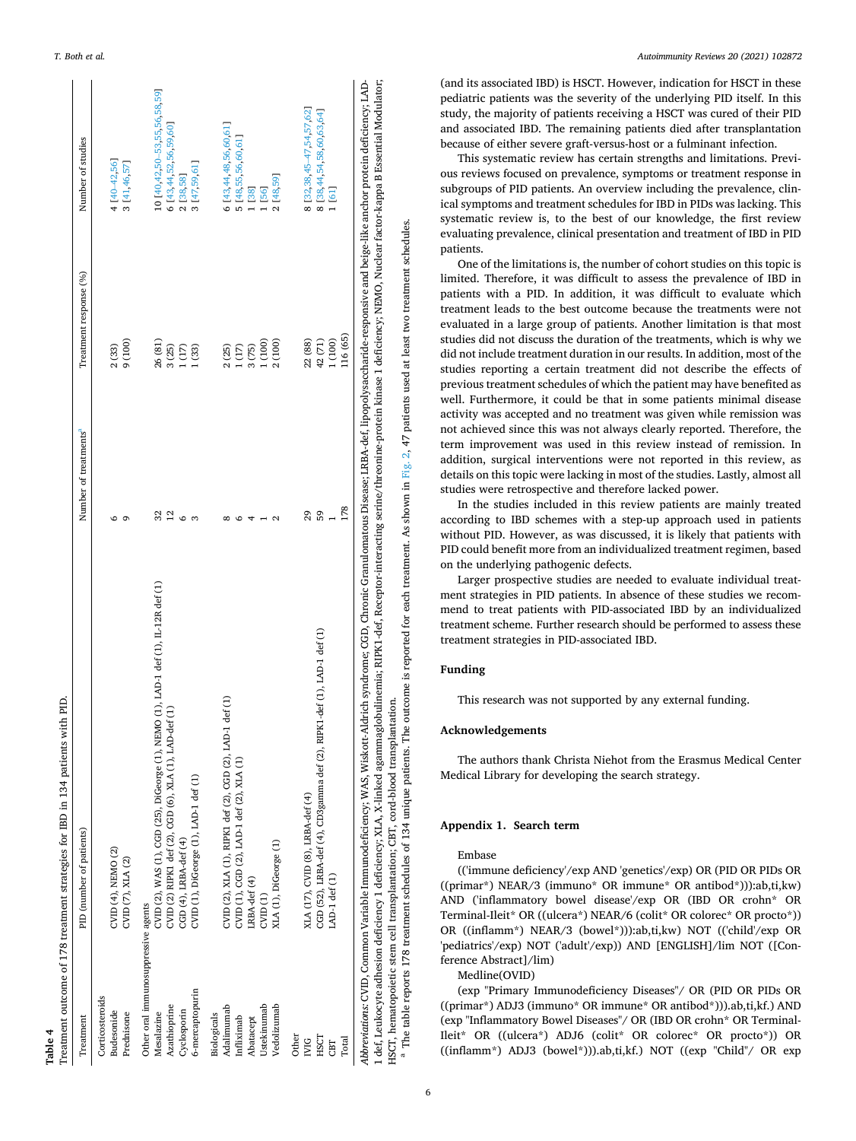| 5 [48,55,56,60,61]<br>4 [40-42,56]<br>3 [41,46,57]<br>3 [47,59,61]<br>2 [38,58]<br>2 [48,59]<br>1 [38]<br>[56]<br>1 [61]<br>1 (100)<br>(100)<br>$\begin{array}{c} 1\ (17)\\ 3\ (75)\\ 1\ (100) \end{array}$<br>2 (100)<br>22 (88)<br>42 (71)<br>26 (81)<br>2(33)<br>$\frac{3(25)}{1(17)}$<br>1(33)<br>2(25)<br>59<br>32<br>29<br>12<br>CVID (2), WAS (1), CGD (25), DiGeorge (1), NEMO (1), LAD-1 def (1), LI-12R def (1)<br>CGD (52), LRBA-def (4), CD3gamma def (2), RIPK1-def (1), LAD-1 def (1)<br>CVID (2), XLA (1), RIPK1 def (2), CGD (2), LAD-1 def (1)<br>CVID (2) RIPK1 def (2), CGD (6), XLA (1), LAD-def (1)<br>CVID (1), CGD (2), LAD-1 def (2), XLA (1)<br>CVID (1), DiGeorge (1), LAD-1 def (1)<br>XLA (17), CVID (8), LRBA-def (4)<br>CGD (4), LRBA-def (4)<br>XLA (1), DiGeorge (1)<br>CVID (4), NEMO (2)<br>CVID (7), XLA (2)<br>LAD-1 def (1)<br>LRBA-def (4)<br>CVD(1)<br>Other oral immunosuppressive agents<br>6-mercaptopurin<br>Corticosteroids<br>Ustekinumab<br>Azathioprine<br>Vedolizumab<br>Adalimumab<br>Budesonide<br>Cyclosporin<br>Prednisone<br>Mesalazine<br>Biologicals<br>Infliximab<br>Abatacept<br>Other<br>HSCT<br>Total<br><b>IVIG</b><br>CBT | Treatment | PID (number of patients) | Number of treatments <sup>"</sup> | Treatment response (%) | Number of studies             |
|----------------------------------------------------------------------------------------------------------------------------------------------------------------------------------------------------------------------------------------------------------------------------------------------------------------------------------------------------------------------------------------------------------------------------------------------------------------------------------------------------------------------------------------------------------------------------------------------------------------------------------------------------------------------------------------------------------------------------------------------------------------------------------------------------------------------------------------------------------------------------------------------------------------------------------------------------------------------------------------------------------------------------------------------------------------------------------------------------------------------------------------------------------------------------------------|-----------|--------------------------|-----------------------------------|------------------------|-------------------------------|
|                                                                                                                                                                                                                                                                                                                                                                                                                                                                                                                                                                                                                                                                                                                                                                                                                                                                                                                                                                                                                                                                                                                                                                                        |           |                          |                                   |                        |                               |
|                                                                                                                                                                                                                                                                                                                                                                                                                                                                                                                                                                                                                                                                                                                                                                                                                                                                                                                                                                                                                                                                                                                                                                                        |           |                          |                                   |                        |                               |
|                                                                                                                                                                                                                                                                                                                                                                                                                                                                                                                                                                                                                                                                                                                                                                                                                                                                                                                                                                                                                                                                                                                                                                                        |           |                          |                                   |                        |                               |
|                                                                                                                                                                                                                                                                                                                                                                                                                                                                                                                                                                                                                                                                                                                                                                                                                                                                                                                                                                                                                                                                                                                                                                                        |           |                          |                                   |                        |                               |
|                                                                                                                                                                                                                                                                                                                                                                                                                                                                                                                                                                                                                                                                                                                                                                                                                                                                                                                                                                                                                                                                                                                                                                                        |           |                          |                                   |                        | 10 [40,42,50-53,55,56,58,59]  |
|                                                                                                                                                                                                                                                                                                                                                                                                                                                                                                                                                                                                                                                                                                                                                                                                                                                                                                                                                                                                                                                                                                                                                                                        |           |                          |                                   |                        | 6 [43,44,52,56,59,60]         |
|                                                                                                                                                                                                                                                                                                                                                                                                                                                                                                                                                                                                                                                                                                                                                                                                                                                                                                                                                                                                                                                                                                                                                                                        |           |                          |                                   |                        |                               |
|                                                                                                                                                                                                                                                                                                                                                                                                                                                                                                                                                                                                                                                                                                                                                                                                                                                                                                                                                                                                                                                                                                                                                                                        |           |                          |                                   |                        |                               |
|                                                                                                                                                                                                                                                                                                                                                                                                                                                                                                                                                                                                                                                                                                                                                                                                                                                                                                                                                                                                                                                                                                                                                                                        |           |                          |                                   |                        |                               |
|                                                                                                                                                                                                                                                                                                                                                                                                                                                                                                                                                                                                                                                                                                                                                                                                                                                                                                                                                                                                                                                                                                                                                                                        |           |                          |                                   |                        | 6 [43,44,48,56,60,61]         |
|                                                                                                                                                                                                                                                                                                                                                                                                                                                                                                                                                                                                                                                                                                                                                                                                                                                                                                                                                                                                                                                                                                                                                                                        |           |                          |                                   |                        |                               |
|                                                                                                                                                                                                                                                                                                                                                                                                                                                                                                                                                                                                                                                                                                                                                                                                                                                                                                                                                                                                                                                                                                                                                                                        |           |                          |                                   |                        |                               |
|                                                                                                                                                                                                                                                                                                                                                                                                                                                                                                                                                                                                                                                                                                                                                                                                                                                                                                                                                                                                                                                                                                                                                                                        |           |                          |                                   |                        |                               |
|                                                                                                                                                                                                                                                                                                                                                                                                                                                                                                                                                                                                                                                                                                                                                                                                                                                                                                                                                                                                                                                                                                                                                                                        |           |                          |                                   |                        |                               |
|                                                                                                                                                                                                                                                                                                                                                                                                                                                                                                                                                                                                                                                                                                                                                                                                                                                                                                                                                                                                                                                                                                                                                                                        |           |                          |                                   |                        |                               |
|                                                                                                                                                                                                                                                                                                                                                                                                                                                                                                                                                                                                                                                                                                                                                                                                                                                                                                                                                                                                                                                                                                                                                                                        |           |                          |                                   |                        | 8 [32, 38, 45-47, 54, 57, 62] |
|                                                                                                                                                                                                                                                                                                                                                                                                                                                                                                                                                                                                                                                                                                                                                                                                                                                                                                                                                                                                                                                                                                                                                                                        |           |                          |                                   |                        | 8 [38,44,54,58,60,63,64]      |
|                                                                                                                                                                                                                                                                                                                                                                                                                                                                                                                                                                                                                                                                                                                                                                                                                                                                                                                                                                                                                                                                                                                                                                                        |           |                          |                                   |                        |                               |
|                                                                                                                                                                                                                                                                                                                                                                                                                                                                                                                                                                                                                                                                                                                                                                                                                                                                                                                                                                                                                                                                                                                                                                                        |           |                          | 178                               | 116 (65)               |                               |

HSCT, hematopoietic stem cell transplantation; CBT, cord-blood transplantation.<br><sup>a</sup> The table reports 178 treatment schedules of 134 unique patients. The outcome is reported for each treatment. As shown in [Fig. 2,](#page-4-0) 47 patie can be ports 178 treatment schedules of 134 unique patients. The outcome is reported for each treatment. As shown in Fig. 2, 47 patients used at least two treatment schedules.

<span id="page-5-0"></span>*T. Both et al.* 

**Table 4** 

(and its associated IBD) is HSCT. However, indication for HSCT in these pediatric patients was the severity of the underlying PID itself. In this study, the majority of patients receiving a HSCT was cured of their PID and associated IBD. The remaining patients died after transplantation because of either severe graft-versus-host or a fulminant infection.

This systematic review has certain strengths and limitations. Previous reviews focused on prevalence, symptoms or treatment response in subgroups of PID patients. An overview including the prevalence, clinical symptoms and treatment schedules for IBD in PIDs was lacking. This systematic review is, to the best of our knowledge, the first review evaluating prevalence, clinical presentation and treatment of IBD in PID patients.

One of the limitations is, the number of cohort studies on this topic is limited. Therefore, it was difficult to assess the prevalence of IBD in patients with a PID. In addition, it was difficult to evaluate which treatment leads to the best outcome because the treatments were not evaluated in a large group of patients. Another limitation is that most studies did not discuss the duration of the treatments, which is why we did not include treatment duration in our results. In addition, most of the studies reporting a certain treatment did not describe the effects of previous treatment schedules of which the patient may have benefited as well. Furthermore, it could be that in some patients minimal disease activity was accepted and no treatment was given while remission was not achieved since this was not always clearly reported. Therefore, the term improvement was used in this review instead of remission. In addition, surgical interventions were not reported in this review, as details on this topic were lacking in most of the studies. Lastly, almost all studies were retrospective and therefore lacked power.

In the studies included in this review patients are mainly treated according to IBD schemes with a step-up approach used in patients without PID. However, as was discussed, it is likely that patients with PID could benefit more from an individualized treatment regimen, based on the underlying pathogenic defects.

Larger prospective studies are needed to evaluate individual treatment strategies in PID patients. In absence of these studies we recommend to treat patients with PID-associated IBD by an individualized treatment scheme. Further research should be performed to assess these treatment strategies in PID-associated IBD.

# **Funding**

This research was not supported by any external funding.

# **Acknowledgements**

The authors thank Christa Niehot from the Erasmus Medical Center Medical Library for developing the search strategy.

## **Appendix 1. Search term**

## Embase

(('immune deficiency'/exp AND 'genetics'/exp) OR (PID OR PIDs OR ((primar\*) NEAR/3 (immuno\* OR immune\* OR antibod\*))):ab,ti,kw) AND ('inflammatory bowel disease'/exp OR (IBD OR crohn\* OR Terminal-Ileit\* OR ((ulcera\*) NEAR/6 (colit\* OR colorec\* OR procto\*)) OR ((inflamm\*) NEAR/3 (bowel\*))):ab,ti,kw) NOT (('child'/exp OR 'pediatrics'/exp) NOT ('adult'/exp)) AND [ENGLISH]/lim NOT ([Conference Abstract]/lim)

Medline(OVID)

(exp "Primary Immunodeficiency Diseases"/ OR (PID OR PIDs OR ((primar\*) ADJ3 (immuno\* OR immune\* OR antibod\*))).ab,ti,kf.) AND (exp "Inflammatory Bowel Diseases"/ OR (IBD OR crohn\* OR Terminal-Ileit\* OR ((ulcera\*) ADJ6 (colit\* OR colorec\* OR procto\*)) OR ((inflamm\*) ADJ3 (bowel\*))).ab,ti,kf.) NOT ((exp "Child"/ OR exp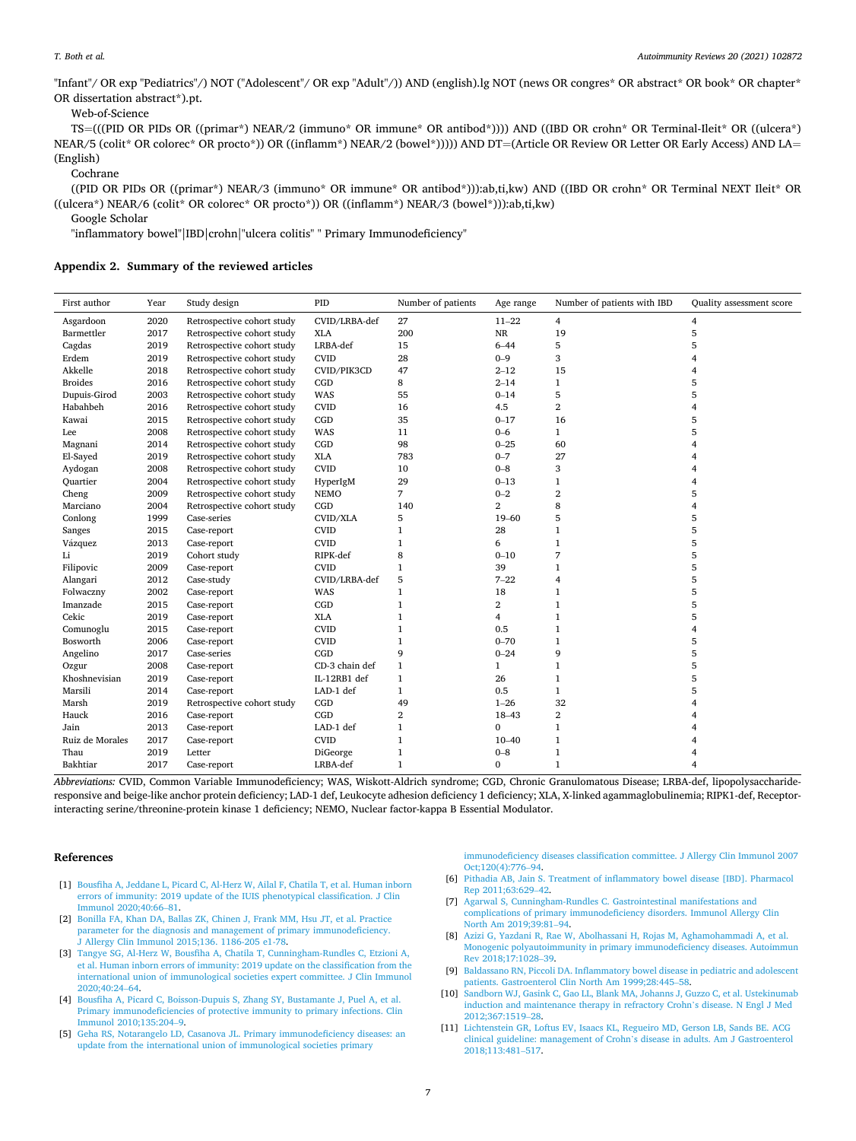<span id="page-6-0"></span>"Infant"/ OR exp "Pediatrics"/) NOT ("Adolescent"/ OR exp "Adult"/)) AND (english).lg NOT (news OR congres\* OR abstract\* OR book\* OR chapter\* OR dissertation abstract\*).pt.

Web-of-Science

TS=(((PID OR PIDs OR ((primar\*) NEAR/2 (immuno\* OR immune\* OR antibod\*)))) AND ((IBD OR crohn\* OR Terminal-Ileit\* OR ((ulcera\*) NEAR/5 (colit\* OR colorec\* OR procto\*)) OR ((inflamm\*) NEAR/2 (bowel\*))))) AND DT=(Article OR Review OR Letter OR Early Access) AND LA= (English)

**Cochrane** 

((PID OR PIDs OR ((primar\*) NEAR/3 (immuno\* OR immune\* OR antibod\*))):ab,ti,kw) AND ((IBD OR crohn\* OR Terminal NEXT Ileit\* OR ((ulcera\*) NEAR/6 (colit\* OR colorec\* OR procto\*)) OR ((inflamm\*) NEAR/3 (bowel\*))):ab,ti,kw)

Google Scholar

"inflammatory bowel"|IBD|crohn|"ulcera colitis" " Primary Immunodeficiency"

## **Appendix 2. Summary of the reviewed articles**

| First author    | Year | Study design               | PID            | Number of patients | Age range        | Number of patients with IBD | Quality assessment score |
|-----------------|------|----------------------------|----------------|--------------------|------------------|-----------------------------|--------------------------|
| Asgardoon       | 2020 | Retrospective cohort study | CVID/LRBA-def  | 27                 | $11 - 22$        | $\overline{4}$              | 4                        |
| Barmettler      | 2017 | Retrospective cohort study | <b>XLA</b>     | 200                | $\rm NR$         | 19                          | 5                        |
| Cagdas          | 2019 | Retrospective cohort study | LRBA-def       | 15                 | $6 - 44$         | 5                           | 5                        |
| Erdem           | 2019 | Retrospective cohort study | <b>CVID</b>    | 28                 | $0 - 9$          | 3                           | $\overline{4}$           |
| Akkelle         | 2018 | Retrospective cohort study | CVID/PIK3CD    | 47                 | $2 - 12$         | 15                          | 4                        |
| <b>Broides</b>  | 2016 | Retrospective cohort study | CGD            | 8                  | $2 - 14$         | $\mathbf{1}$                | 5                        |
| Dupuis-Girod    | 2003 | Retrospective cohort study | WAS            | 55                 | $0 - 14$         | 5                           | 5                        |
| Habahbeh        | 2016 | Retrospective cohort study | <b>CVID</b>    | 16                 | 4.5              | $\overline{\mathbf{2}}$     | 4                        |
| Kawai           | 2015 | Retrospective cohort study | CGD            | 35                 | $0 - 17$         | 16                          | 5                        |
| Lee             | 2008 | Retrospective cohort study | WAS            | 11                 | $0 - 6$          | $\mathbf{1}$                | 5                        |
| Magnani         | 2014 | Retrospective cohort study | CGD            | 98                 | $0 - 25$         | 60                          | 4                        |
| El-Sayed        | 2019 | Retrospective cohort study | <b>XLA</b>     | 783                | $0 - 7$          | 27                          |                          |
| Aydogan         | 2008 | Retrospective cohort study | <b>CVID</b>    | 10                 | $0 - 8$          | 3                           | 4                        |
| Quartier        | 2004 | Retrospective cohort study | HyperIgM       | 29                 | $0 - 13$         | 1                           | 4                        |
| Cheng           | 2009 | Retrospective cohort study | <b>NEMO</b>    | 7                  | $0 - 2$          | 2                           | 5                        |
| Marciano        | 2004 | Retrospective cohort study | CGD            | 140                | 2                | 8                           | $\overline{4}$           |
| Conlong         | 1999 | Case-series                | CVID/XLA       | 5                  | 19-60            | 5                           | 5                        |
| Sanges          | 2015 | Case-report                | <b>CVID</b>    | 1                  | 28               | $\mathbf{1}$                | 5                        |
| Vázquez         | 2013 | Case-report                | <b>CVID</b>    | 1                  | 6                | 1                           | 5                        |
| Li              | 2019 | Cohort study               | RIPK-def       | 8                  | $0 - 10$         | 7                           | 5                        |
| Filipovic       | 2009 | Case-report                | <b>CVID</b>    | 1                  | 39               | 1                           | 5                        |
| Alangari        | 2012 | Case-study                 | CVID/LRBA-def  | 5                  | $7 - 22$         | 4                           | 5                        |
| Folwaczny       | 2002 | Case-report                | WAS            | $\mathbf{1}$       | 18               | 1                           | 5                        |
| Imanzade        | 2015 | Case-report                | CGD            | $\mathbf{1}$       | $\boldsymbol{2}$ | $\mathbf{1}$                | 5                        |
| Cekic           | 2019 | Case-report                | <b>XLA</b>     | 1                  | 4                | 1                           | 5                        |
| Comunoglu       | 2015 | Case-report                | <b>CVID</b>    | 1                  | 0.5              | 1                           | 4                        |
| Bosworth        | 2006 | Case-report                | <b>CVID</b>    | $\mathbf{1}$       | $0 - 70$         | 1                           | 5                        |
| Angelino        | 2017 | Case-series                | CGD            | 9                  | $0 - 24$         | 9                           | 5                        |
| Ozgur           | 2008 | Case-report                | CD-3 chain def | $\mathbf{1}$       | $\mathbf{1}$     | $\mathbf{1}$                | 5                        |
| Khoshnevisian   | 2019 | Case-report                | IL-12RB1 def   | $\mathbf{1}$       | 26               | $\mathbf{1}$                | 5                        |
| Marsili         | 2014 | Case-report                | LAD-1 def      | $\mathbf{1}$       | 0.5              | $\mathbf{1}$                | 5                        |
| Marsh           | 2019 | Retrospective cohort study | CGD            | 49                 | $1 - 26$         | 32                          |                          |
| Hauck           | 2016 | Case-report                | CGD            | 2                  | 18-43            | 2                           |                          |
| Jain            | 2013 | Case-report                | LAD-1 def      | 1                  | 0                | $\mathbf{1}$                |                          |
| Ruiz de Morales | 2017 | Case-report                | <b>CVID</b>    | $\mathbf{1}$       | $10 - 40$        | $\mathbf 1$                 |                          |
| Thau            | 2019 | Letter                     | DiGeorge       | $\mathbf{1}$       | $0 - 8$          | $\mathbf 1$                 |                          |
| Bakhtiar        | 2017 | Case-report                | LRBA-def       | $\mathbf{1}$       | $\bf{0}$         | $\mathbf{1}$                | $\overline{4}$           |

*Abbreviations:* CVID, Common Variable Immunodeficiency; WAS, Wiskott-Aldrich syndrome; CGD, Chronic Granulomatous Disease; LRBA-def, lipopolysaccharideresponsive and beige-like anchor protein deficiency; LAD-1 def, Leukocyte adhesion deficiency 1 deficiency; XLA, X-linked agammaglobulinemia; RIPK1-def, Receptorinteracting serine/threonine-protein kinase 1 deficiency; NEMO, Nuclear factor-kappa B Essential Modulator.

#### **References**

[Immunol 2020;40:66](http://refhub.elsevier.com/S1568-9972(21)00145-2/rf0005)–81.

[Immunol 2010;135:204](http://refhub.elsevier.com/S1568-9972(21)00145-2/rf0020)–9.

[2020;40:24](http://refhub.elsevier.com/S1568-9972(21)00145-2/rf0015)–64.

[1] [Bousfiha A, Jeddane L, Picard C, Al-Herz W, Ailal F, Chatila T, et al. Human inborn](http://refhub.elsevier.com/S1568-9972(21)00145-2/rf0005)  [errors of immunity: 2019 update of the IUIS phenotypical classification. J Clin](http://refhub.elsevier.com/S1568-9972(21)00145-2/rf0005)

[3] [Tangye SG, Al-Herz W, Bousfiha A, Chatila T, Cunningham-Rundles C, Etzioni A,](http://refhub.elsevier.com/S1568-9972(21)00145-2/rf0015) [et al. Human inborn errors of immunity: 2019 update on the classification from the](http://refhub.elsevier.com/S1568-9972(21)00145-2/rf0015)  [international union of immunological societies expert committee. J Clin Immunol](http://refhub.elsevier.com/S1568-9972(21)00145-2/rf0015) 

[4] [Bousfiha A, Picard C, Boisson-Dupuis S, Zhang SY, Bustamante J, Puel A, et al.](http://refhub.elsevier.com/S1568-9972(21)00145-2/rf0020) [Primary immunodeficiencies of protective immunity to primary infections. Clin](http://refhub.elsevier.com/S1568-9972(21)00145-2/rf0020)

[2] [Bonilla FA, Khan DA, Ballas ZK, Chinen J, Frank MM, Hsu JT, et al. Practice](http://refhub.elsevier.com/S1568-9972(21)00145-2/rf0010)  [parameter for the diagnosis and management of primary immunodeficiency.](http://refhub.elsevier.com/S1568-9972(21)00145-2/rf0010) 

[J Allergy Clin Immunol 2015;136. 1186-205 e1-78](http://refhub.elsevier.com/S1568-9972(21)00145-2/rf0010).

[immunodeficiency diseases classification committee. J Allergy Clin Immunol 2007](http://refhub.elsevier.com/S1568-9972(21)00145-2/rf0025)  [Oct;120\(4\):776](http://refhub.elsevier.com/S1568-9972(21)00145-2/rf0025)–94.

- [6] [Pithadia AB, Jain S. Treatment of inflammatory bowel disease \[IBD\]. Pharmacol](http://refhub.elsevier.com/S1568-9972(21)00145-2/rf0030) [Rep 2011;63:629](http://refhub.elsevier.com/S1568-9972(21)00145-2/rf0030)–42.
	- [7] [Agarwal S, Cunningham-Rundles C. Gastrointestinal manifestations and](http://refhub.elsevier.com/S1568-9972(21)00145-2/rf0035)  [complications of primary immunodeficiency disorders. Immunol Allergy Clin](http://refhub.elsevier.com/S1568-9972(21)00145-2/rf0035) [North Am 2019;39:81](http://refhub.elsevier.com/S1568-9972(21)00145-2/rf0035)–94.
	- [8] [Azizi G, Yazdani R, Rae W, Abolhassani H, Rojas M, Aghamohammadi A, et al.](http://refhub.elsevier.com/S1568-9972(21)00145-2/rf0040)  [Monogenic polyautoimmunity in primary immunodeficiency diseases. Autoimmun](http://refhub.elsevier.com/S1568-9972(21)00145-2/rf0040)  [Rev 2018;17:1028](http://refhub.elsevier.com/S1568-9972(21)00145-2/rf0040)–39.
	- [9] [Baldassano RN, Piccoli DA. Inflammatory bowel disease in pediatric and adolescent](http://refhub.elsevier.com/S1568-9972(21)00145-2/rf0045)  [patients. Gastroenterol Clin North Am 1999;28:445](http://refhub.elsevier.com/S1568-9972(21)00145-2/rf0045)–58.
	- [10] [Sandborn WJ, Gasink C, Gao LL, Blank MA, Johanns J, Guzzo C, et al. Ustekinumab](http://refhub.elsevier.com/S1568-9972(21)00145-2/rf0050)  [induction and maintenance therapy in refractory Crohn](http://refhub.elsevier.com/S1568-9972(21)00145-2/rf0050)'s disease. N Engl J Med [2012;367:1519](http://refhub.elsevier.com/S1568-9972(21)00145-2/rf0050)–28.
- [5] [Geha RS, Notarangelo LD, Casanova JL. Primary immunodeficiency diseases: an](http://refhub.elsevier.com/S1568-9972(21)00145-2/rf0025) [update from the international union of immunological societies primary](http://refhub.elsevier.com/S1568-9972(21)00145-2/rf0025)  [11] [Lichtenstein GR, Loftus EV, Isaacs KL, Regueiro MD, Gerson LB, Sands BE. ACG](http://refhub.elsevier.com/S1568-9972(21)00145-2/rf0055) [clinical guideline: management of Crohn](http://refhub.elsevier.com/S1568-9972(21)00145-2/rf0055)'s disease in adults. Am J Gastroenterol [2018;113:481](http://refhub.elsevier.com/S1568-9972(21)00145-2/rf0055)–517.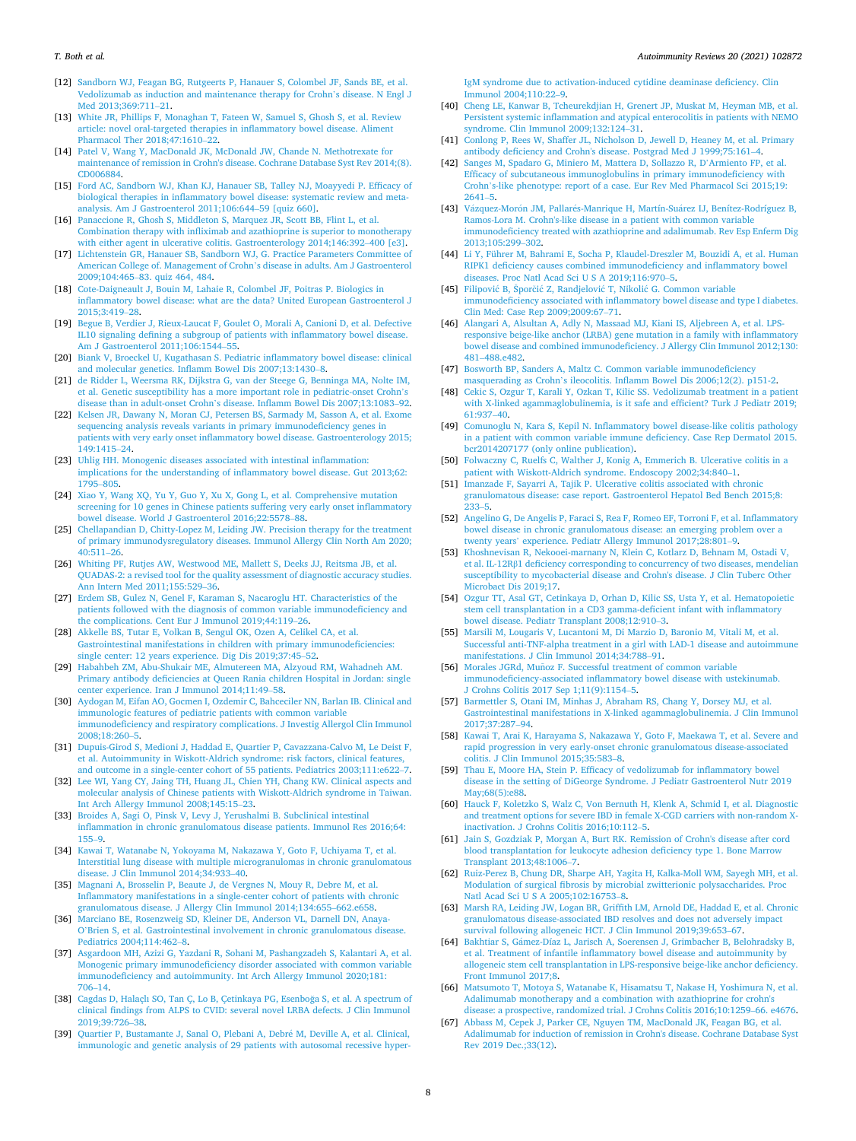#### <span id="page-7-0"></span>*T. Both et al.*

- [12] [Sandborn WJ, Feagan BG, Rutgeerts P, Hanauer S, Colombel JF, Sands BE, et al.](http://refhub.elsevier.com/S1568-9972(21)00145-2/rf0060)  [Vedolizumab as induction and maintenance therapy for Crohn](http://refhub.elsevier.com/S1568-9972(21)00145-2/rf0060)'s disease. N Engl J [Med 2013;369:711](http://refhub.elsevier.com/S1568-9972(21)00145-2/rf0060)–21.
- [13] [White JR, Phillips F, Monaghan T, Fateen W, Samuel S, Ghosh S, et al. Review](http://refhub.elsevier.com/S1568-9972(21)00145-2/rf0065) [article: novel oral-targeted therapies in inflammatory bowel disease. Aliment](http://refhub.elsevier.com/S1568-9972(21)00145-2/rf0065)  [Pharmacol Ther 2018;47:1610](http://refhub.elsevier.com/S1568-9972(21)00145-2/rf0065)–22.
- [14] [Patel V, Wang Y, MacDonald JK, McDonald JW, Chande N. Methotrexate for](http://refhub.elsevier.com/S1568-9972(21)00145-2/rf0070) [maintenance of remission in Crohn's disease. Cochrane Database Syst Rev 2014;\(8\).](http://refhub.elsevier.com/S1568-9972(21)00145-2/rf0070)  [CD006884](http://refhub.elsevier.com/S1568-9972(21)00145-2/rf0070).
- [15] [Ford AC, Sandborn WJ, Khan KJ, Hanauer SB, Talley NJ, Moayyedi P. Efficacy of](http://refhub.elsevier.com/S1568-9972(21)00145-2/rf0075)  [biological therapies in inflammatory bowel disease: systematic review and meta](http://refhub.elsevier.com/S1568-9972(21)00145-2/rf0075)[analysis. Am J Gastroenterol 2011;106:644](http://refhub.elsevier.com/S1568-9972(21)00145-2/rf0075)–59 [quiz 660].
- [16] [Panaccione R, Ghosh S, Middleton S, Marquez JR, Scott BB, Flint L, et al.](http://refhub.elsevier.com/S1568-9972(21)00145-2/rf0080) [Combination therapy with infliximab and azathioprine is superior to monotherapy](http://refhub.elsevier.com/S1568-9972(21)00145-2/rf0080)  [with either agent in ulcerative colitis. Gastroenterology 2014;146:392](http://refhub.elsevier.com/S1568-9972(21)00145-2/rf0080)–400 [e3].
- [17] Lichtenstein GR, Hanauer SB, Sandborn WJ, G. Practice Parameters Committee of [American College of. Management of Crohn](http://refhub.elsevier.com/S1568-9972(21)00145-2/rf0085)'s disease in adults. Am J Gastroenterol 2009;104:465–[83. quiz 464, 484](http://refhub.elsevier.com/S1568-9972(21)00145-2/rf0085).
- [18] [Cote-Daigneault J, Bouin M, Lahaie R, Colombel JF, Poitras P. Biologics in](http://refhub.elsevier.com/S1568-9972(21)00145-2/rf0090) [inflammatory bowel disease: what are the data? United European Gastroenterol J](http://refhub.elsevier.com/S1568-9972(21)00145-2/rf0090)  [2015;3:419](http://refhub.elsevier.com/S1568-9972(21)00145-2/rf0090)–28.
- [19] [Begue B, Verdier J, Rieux-Laucat F, Goulet O, Morali A, Canioni D, et al. Defective](http://refhub.elsevier.com/S1568-9972(21)00145-2/rf0095)  [IL10 signaling defining a subgroup of patients with inflammatory bowel disease.](http://refhub.elsevier.com/S1568-9972(21)00145-2/rf0095) [Am J Gastroenterol 2011;106:1544](http://refhub.elsevier.com/S1568-9972(21)00145-2/rf0095)–55.
- [20] [Biank V, Broeckel U, Kugathasan S. Pediatric inflammatory bowel disease: clinical](http://refhub.elsevier.com/S1568-9972(21)00145-2/rf0100)  [and molecular genetics. Inflamm Bowel Dis 2007;13:1430](http://refhub.elsevier.com/S1568-9972(21)00145-2/rf0100)–8.
- [21] [de Ridder L, Weersma RK, Dijkstra G, van der Steege G, Benninga MA, Nolte IM,](http://refhub.elsevier.com/S1568-9972(21)00145-2/rf0105) [et al. Genetic susceptibility has a more important role in pediatric-onset Crohn](http://refhub.elsevier.com/S1568-9972(21)00145-2/rf0105)'s disease than in adult-onset Crohn'[s disease. Inflamm Bowel Dis 2007;13:1083](http://refhub.elsevier.com/S1568-9972(21)00145-2/rf0105)–92.
- [22] [Kelsen JR, Dawany N, Moran CJ, Petersen BS, Sarmady M, Sasson A, et al. Exome](http://refhub.elsevier.com/S1568-9972(21)00145-2/rf0110)  [sequencing analysis reveals variants in primary immunodeficiency genes in](http://refhub.elsevier.com/S1568-9972(21)00145-2/rf0110)  [patients with very early onset inflammatory bowel disease. Gastroenterology 2015;](http://refhub.elsevier.com/S1568-9972(21)00145-2/rf0110)  -<br>[149:1415](http://refhub.elsevier.com/S1568-9972(21)00145-2/rf0110)–24.
- [23] [Uhlig HH. Monogenic diseases associated with intestinal inflammation:](http://refhub.elsevier.com/S1568-9972(21)00145-2/rf0115) [implications for the understanding of inflammatory bowel disease. Gut 2013;62:](http://refhub.elsevier.com/S1568-9972(21)00145-2/rf0115)  [1795](http://refhub.elsevier.com/S1568-9972(21)00145-2/rf0115)–805.
- [24] [Xiao Y, Wang XQ, Yu Y, Guo Y, Xu X, Gong L, et al. Comprehensive mutation](http://refhub.elsevier.com/S1568-9972(21)00145-2/rf0120)  [screening for 10 genes in Chinese patients suffering very early onset inflammatory](http://refhub.elsevier.com/S1568-9972(21)00145-2/rf0120)  [bowel disease. World J Gastroenterol 2016;22:5578](http://refhub.elsevier.com/S1568-9972(21)00145-2/rf0120)–88.
- [25] Chellapandian D, Chitty-Lopez M, Leiding JW. Precision therapy for the treatment [of primary immunodysregulatory diseases. Immunol Allergy Clin North Am 2020;](http://refhub.elsevier.com/S1568-9972(21)00145-2/rf0125)  [40:511](http://refhub.elsevier.com/S1568-9972(21)00145-2/rf0125)–26.
- [26] [Whiting PF, Rutjes AW, Westwood ME, Mallett S, Deeks JJ, Reitsma JB, et al.](http://refhub.elsevier.com/S1568-9972(21)00145-2/rf0130) [QUADAS-2: a revised tool for the quality assessment of diagnostic accuracy studies.](http://refhub.elsevier.com/S1568-9972(21)00145-2/rf0130)  [Ann Intern Med 2011;155:529](http://refhub.elsevier.com/S1568-9972(21)00145-2/rf0130)–36.
- [27] [Erdem SB, Gulez N, Genel F, Karaman S, Nacaroglu HT. Characteristics of the](http://refhub.elsevier.com/S1568-9972(21)00145-2/rf0135) [patients followed with the diagnosis of common variable immunodeficiency and](http://refhub.elsevier.com/S1568-9972(21)00145-2/rf0135)  [the complications. Cent Eur J Immunol 2019;44:119](http://refhub.elsevier.com/S1568-9972(21)00145-2/rf0135)–26.
- [28] [Akkelle BS, Tutar E, Volkan B, Sengul OK, Ozen A, Celikel CA, et al.](http://refhub.elsevier.com/S1568-9972(21)00145-2/rf0140)  [Gastrointestinal manifestations in children with primary immunodeficiencies:](http://refhub.elsevier.com/S1568-9972(21)00145-2/rf0140)  [single center: 12 years experience. Dig Dis 2019;37:45](http://refhub.elsevier.com/S1568-9972(21)00145-2/rf0140)–52.
- [29] [Habahbeh ZM, Abu-Shukair ME, Almutereen MA, Alzyoud RM, Wahadneh AM.](http://refhub.elsevier.com/S1568-9972(21)00145-2/rf0145) [Primary antibody deficiencies at Queen Rania children Hospital in Jordan: single](http://refhub.elsevier.com/S1568-9972(21)00145-2/rf0145)  [center experience. Iran J Immunol 2014;11:49](http://refhub.elsevier.com/S1568-9972(21)00145-2/rf0145)–58.
- [30] [Aydogan M, Eifan AO, Gocmen I, Ozdemir C, Bahceciler NN, Barlan IB. Clinical and](http://refhub.elsevier.com/S1568-9972(21)00145-2/rf0150)  [immunologic features of pediatric patients with common variable](http://refhub.elsevier.com/S1568-9972(21)00145-2/rf0150) [immunodeficiency and respiratory complications. J Investig Allergol Clin Immunol](http://refhub.elsevier.com/S1568-9972(21)00145-2/rf0150)   $2008:18:260-5$ .
- [31] [Dupuis-Girod S, Medioni J, Haddad E, Quartier P, Cavazzana-Calvo M, Le Deist F,](http://refhub.elsevier.com/S1568-9972(21)00145-2/rf0155)  [et al. Autoimmunity in Wiskott-Aldrich syndrome: risk factors, clinical features,](http://refhub.elsevier.com/S1568-9972(21)00145-2/rf0155)  [and outcome in a single-center cohort of 55 patients. Pediatrics 2003;111:e622](http://refhub.elsevier.com/S1568-9972(21)00145-2/rf0155)–7.
- [32] [Lee WI, Yang CY, Jaing TH, Huang JL, Chien YH, Chang KW. Clinical aspects and](http://refhub.elsevier.com/S1568-9972(21)00145-2/rf0160)  [molecular analysis of Chinese patients with Wiskott-Aldrich syndrome in Taiwan.](http://refhub.elsevier.com/S1568-9972(21)00145-2/rf0160)  [Int Arch Allergy Immunol 2008;145:15](http://refhub.elsevier.com/S1568-9972(21)00145-2/rf0160)–23.
- [33] [Broides A, Sagi O, Pinsk V, Levy J, Yerushalmi B. Subclinical intestinal](http://refhub.elsevier.com/S1568-9972(21)00145-2/rf0165) [inflammation in chronic granulomatous disease patients. Immunol Res 2016;64:](http://refhub.elsevier.com/S1568-9972(21)00145-2/rf0165)  [155](http://refhub.elsevier.com/S1568-9972(21)00145-2/rf0165)–9.
- [34] [Kawai T, Watanabe N, Yokoyama M, Nakazawa Y, Goto F, Uchiyama T, et al.](http://refhub.elsevier.com/S1568-9972(21)00145-2/rf0170) [Interstitial lung disease with multiple microgranulomas in chronic granulomatous](http://refhub.elsevier.com/S1568-9972(21)00145-2/rf0170)  [disease. J Clin Immunol 2014;34:933](http://refhub.elsevier.com/S1568-9972(21)00145-2/rf0170)–40.
- [35] [Magnani A, Brosselin P, Beaute J, de Vergnes N, Mouy R, Debre M, et al.](http://refhub.elsevier.com/S1568-9972(21)00145-2/rf0175) [Inflammatory manifestations in a single-center cohort of patients with chronic](http://refhub.elsevier.com/S1568-9972(21)00145-2/rf0175)  [granulomatous disease. J Allergy Clin Immunol 2014;134:655](http://refhub.elsevier.com/S1568-9972(21)00145-2/rf0175)–662.e658.
- [36] [Marciano BE, Rosenzweig SD, Kleiner DE, Anderson VL, Darnell DN, Anaya-](http://refhub.elsevier.com/S1568-9972(21)00145-2/rf0180)O'[Brien S, et al. Gastrointestinal involvement in chronic granulomatous disease.](http://refhub.elsevier.com/S1568-9972(21)00145-2/rf0180)  [Pediatrics 2004;114:462](http://refhub.elsevier.com/S1568-9972(21)00145-2/rf0180)–8.
- [37] [Asgardoon MH, Azizi G, Yazdani R, Sohani M, Pashangzadeh S, Kalantari A, et al.](http://refhub.elsevier.com/S1568-9972(21)00145-2/rf0185)  [Monogenic primary immunodeficiency disorder associated with common variable](http://refhub.elsevier.com/S1568-9972(21)00145-2/rf0185)  [immunodeficiency and autoimmunity. Int Arch Allergy Immunol 2020;181:](http://refhub.elsevier.com/S1568-9972(21)00145-2/rf0185) [706](http://refhub.elsevier.com/S1568-9972(21)00145-2/rf0185)–14.
- [38] Cagdas D, Halaçlı SO, Tan Ç, Lo B, Çetinkaya PG, Esenboğa S, et al. A spectrum of [clinical findings from ALPS to CVID: several novel LRBA defects. J Clin Immunol](http://refhub.elsevier.com/S1568-9972(21)00145-2/rf0190)  [2019;39:726](http://refhub.elsevier.com/S1568-9972(21)00145-2/rf0190)–38.
- [39] [Quartier P, Bustamante J, Sanal O, Plebani A, Debr](http://refhub.elsevier.com/S1568-9972(21)00145-2/rf0195)é M, Deville A, et al. Clinical, [immunologic and genetic analysis of 29 patients with autosomal recessive hyper-](http://refhub.elsevier.com/S1568-9972(21)00145-2/rf0195)

[IgM syndrome due to activation-induced cytidine deaminase deficiency. Clin](http://refhub.elsevier.com/S1568-9972(21)00145-2/rf0195)  [Immunol 2004;110:22](http://refhub.elsevier.com/S1568-9972(21)00145-2/rf0195)–9.

- [40] [Cheng LE, Kanwar B, Tcheurekdjian H, Grenert JP, Muskat M, Heyman MB, et al.](http://refhub.elsevier.com/S1568-9972(21)00145-2/rf0200)  [Persistent systemic inflammation and atypical enterocolitis in patients with NEMO](http://refhub.elsevier.com/S1568-9972(21)00145-2/rf0200)  [syndrome. Clin Immunol 2009;132:124](http://refhub.elsevier.com/S1568-9972(21)00145-2/rf0200)–31.
- [41] [Conlong P, Rees W, Shaffer JL, Nicholson D, Jewell D, Heaney M, et al. Primary](http://refhub.elsevier.com/S1568-9972(21)00145-2/rf0205)  [antibody deficiency and Crohn's disease. Postgrad Med J 1999;75:161](http://refhub.elsevier.com/S1568-9972(21)00145-2/rf0205)–4.
- [42] [Sanges M, Spadaro G, Miniero M, Mattera D, Sollazzo R, D](http://refhub.elsevier.com/S1568-9972(21)00145-2/rf0210)'Armiento FP, et al. [Efficacy of subcutaneous immunoglobulins in primary immunodeficiency with](http://refhub.elsevier.com/S1568-9972(21)00145-2/rf0210) Crohn'[s-like phenotype: report of a case. Eur Rev Med Pharmacol Sci 2015;19:](http://refhub.elsevier.com/S1568-9972(21)00145-2/rf0210) [2641](http://refhub.elsevier.com/S1568-9972(21)00145-2/rf0210)–5.
- [43] Vázquez-Morón JM, Pallarés-Manrique H, Martín-Suárez IJ, Benítez-Rodríguez B, [Ramos-Lora M. Crohn's-like disease in a patient with common variable](http://refhub.elsevier.com/S1568-9972(21)00145-2/rf0215) [immunodeficiency treated with azathioprine and adalimumab. Rev Esp Enferm Dig](http://refhub.elsevier.com/S1568-9972(21)00145-2/rf0215)  [2013;105:299](http://refhub.elsevier.com/S1568-9972(21)00145-2/rf0215)–302.
- [44] [Li Y, Führer M, Bahrami E, Socha P, Klaudel-Dreszler M, Bouzidi A, et al. Human](http://refhub.elsevier.com/S1568-9972(21)00145-2/rf0220)  [RIPK1 deficiency causes combined immunodeficiency and inflammatory bowel](http://refhub.elsevier.com/S1568-9972(21)00145-2/rf0220) [diseases. Proc Natl Acad Sci U S A 2019;116:970](http://refhub.elsevier.com/S1568-9972(21)00145-2/rf0220)–5.
- [45] Filipović B, Šporčić Z, Randjelović T, Nikolić G. Common variable [immunodeficiency associated with inflammatory bowel disease and type I diabetes.](http://refhub.elsevier.com/S1568-9972(21)00145-2/rf0225)  [Clin Med: Case Rep 2009;2009:67](http://refhub.elsevier.com/S1568-9972(21)00145-2/rf0225)–71.
- [46] [Alangari A, Alsultan A, Adly N, Massaad MJ, Kiani IS, Aljebreen A, et al. LPS](http://refhub.elsevier.com/S1568-9972(21)00145-2/rf0230)[responsive beige-like anchor \(LRBA\) gene mutation in a family with inflammatory](http://refhub.elsevier.com/S1568-9972(21)00145-2/rf0230)  [bowel disease and combined immunodeficiency. J Allergy Clin Immunol 2012;130:](http://refhub.elsevier.com/S1568-9972(21)00145-2/rf0230)  481–[488.e482.](http://refhub.elsevier.com/S1568-9972(21)00145-2/rf0230)
- [47] [Bosworth BP, Sanders A, Maltz C. Common variable immunodeficiency](http://refhub.elsevier.com/S1568-9972(21)00145-2/rf0235) masquerading as Crohn'[s ileocolitis. Inflamm Bowel Dis 2006;12\(2\). p151-2](http://refhub.elsevier.com/S1568-9972(21)00145-2/rf0235).
- [48] [Cekic S, Ozgur T, Karali Y, Ozkan T, Kilic SS. Vedolizumab treatment in a patient](http://refhub.elsevier.com/S1568-9972(21)00145-2/rf0240)  with X-linked agammaglobulinemia, is it safe and efficient? Turk J Pediatr 2019; [61:937](http://refhub.elsevier.com/S1568-9972(21)00145-2/rf0240)–40.
- [49] [Comunoglu N, Kara S, Kepil N. Inflammatory bowel disease-like colitis pathology](http://refhub.elsevier.com/S1568-9972(21)00145-2/rf0245)  [in a patient with common variable immune deficiency. Case Rep Dermatol 2015.](http://refhub.elsevier.com/S1568-9972(21)00145-2/rf0245)  [bcr2014207177 \(only online publication\)](http://refhub.elsevier.com/S1568-9972(21)00145-2/rf0245).
- [50] [Folwaczny C, Ruelfs C, Walther J, Konig A, Emmerich B. Ulcerative colitis in a](http://refhub.elsevier.com/S1568-9972(21)00145-2/rf0250)  [patient with Wiskott-Aldrich syndrome. Endoscopy 2002;34:840](http://refhub.elsevier.com/S1568-9972(21)00145-2/rf0250)–1.
- [51] [Imanzade F, Sayarri A, Tajik P. Ulcerative colitis associated with chronic](http://refhub.elsevier.com/S1568-9972(21)00145-2/rf0255) [granulomatous disease: case report. Gastroenterol Hepatol Bed Bench 2015;8:](http://refhub.elsevier.com/S1568-9972(21)00145-2/rf0255)  [233](http://refhub.elsevier.com/S1568-9972(21)00145-2/rf0255)–5.
- [52] [Angelino G, De Angelis P, Faraci S, Rea F, Romeo EF, Torroni F, et al. Inflammatory](http://refhub.elsevier.com/S1568-9972(21)00145-2/rf0260)  [bowel disease in chronic granulomatous disease: an emerging problem over a](http://refhub.elsevier.com/S1568-9972(21)00145-2/rf0260)  twenty years' [experience. Pediatr Allergy Immunol 2017;28:801](http://refhub.elsevier.com/S1568-9972(21)00145-2/rf0260)–9.
- [53] [Khoshnevisan R, Nekooei-marnany N, Klein C, Kotlarz D, Behnam M, Ostadi V,](http://refhub.elsevier.com/S1568-9972(21)00145-2/rf0265) et al. IL-12Rβ[1 deficiency corresponding to concurrency of two diseases, mendelian](http://refhub.elsevier.com/S1568-9972(21)00145-2/rf0265)  [susceptibility to mycobacterial disease and Crohn's disease. J Clin Tuberc Other](http://refhub.elsevier.com/S1568-9972(21)00145-2/rf0265)  [Microbact Dis 2019;17](http://refhub.elsevier.com/S1568-9972(21)00145-2/rf0265).
- [54] [Ozgur TT, Asal GT, Cetinkaya D, Orhan D, Kilic SS, Usta Y, et al. Hematopoietic](http://refhub.elsevier.com/S1568-9972(21)00145-2/rf0270)  [stem cell transplantation in a CD3 gamma-deficient infant with inflammatory](http://refhub.elsevier.com/S1568-9972(21)00145-2/rf0270) [bowel disease. Pediatr Transplant 2008;12:910](http://refhub.elsevier.com/S1568-9972(21)00145-2/rf0270)–3.
- [55] [Marsili M, Lougaris V, Lucantoni M, Di Marzio D, Baronio M, Vitali M, et al.](http://refhub.elsevier.com/S1568-9972(21)00145-2/rf0275) [Successful anti-TNF-alpha treatment in a girl with LAD-1 disease and autoimmune](http://refhub.elsevier.com/S1568-9972(21)00145-2/rf0275)  [manifestations. J Clin Immunol 2014;34:788](http://refhub.elsevier.com/S1568-9972(21)00145-2/rf0275)–91.
- [56] Morales JGRd, Muñoz [F. Successful treatment of common variable](http://refhub.elsevier.com/S1568-9972(21)00145-2/rf0280) [immunodeficiency-associated inflammatory bowel disease with ustekinumab.](http://refhub.elsevier.com/S1568-9972(21)00145-2/rf0280) [J Crohns Colitis 2017 Sep 1;11\(9\):1154](http://refhub.elsevier.com/S1568-9972(21)00145-2/rf0280)–5.
- [57] [Barmettler S, Otani IM, Minhas J, Abraham RS, Chang Y, Dorsey MJ, et al.](http://refhub.elsevier.com/S1568-9972(21)00145-2/rf0285) [Gastrointestinal manifestations in X-linked agammaglobulinemia. J Clin Immunol](http://refhub.elsevier.com/S1568-9972(21)00145-2/rf0285)  [2017;37:287](http://refhub.elsevier.com/S1568-9972(21)00145-2/rf0285)–94.
- [58] [Kawai T, Arai K, Harayama S, Nakazawa Y, Goto F, Maekawa T, et al. Severe and](http://refhub.elsevier.com/S1568-9972(21)00145-2/rf0290)  [rapid progression in very early-onset chronic granulomatous disease-associated](http://refhub.elsevier.com/S1568-9972(21)00145-2/rf0290)  [colitis. J Clin Immunol 2015;35:583](http://refhub.elsevier.com/S1568-9972(21)00145-2/rf0290)–8.
- [59] [Thau E, Moore HA, Stein P. Efficacy of vedolizumab for inflammatory bowel](http://refhub.elsevier.com/S1568-9972(21)00145-2/rf0295) [disease in the setting of DiGeorge Syndrome. J Pediatr Gastroenterol Nutr 2019](http://refhub.elsevier.com/S1568-9972(21)00145-2/rf0295)  [May;68\(5\):e88.](http://refhub.elsevier.com/S1568-9972(21)00145-2/rf0295)
- [60] [Hauck F, Koletzko S, Walz C, Von Bernuth H, Klenk A, Schmid I, et al. Diagnostic](http://refhub.elsevier.com/S1568-9972(21)00145-2/rf0300)  [and treatment options for severe IBD in female X-CGD carriers with non-random X](http://refhub.elsevier.com/S1568-9972(21)00145-2/rf0300)[inactivation. J Crohns Colitis 2016;10:112](http://refhub.elsevier.com/S1568-9972(21)00145-2/rf0300)–5.
- [61] [Jain S, Gozdziak P, Morgan A, Burt RK. Remission of Crohn's disease after cord](http://refhub.elsevier.com/S1568-9972(21)00145-2/rf0305) [blood transplantation for leukocyte adhesion deficiency type 1. Bone Marrow](http://refhub.elsevier.com/S1568-9972(21)00145-2/rf0305) [Transplant 2013;48:1006](http://refhub.elsevier.com/S1568-9972(21)00145-2/rf0305)–7.
- [62] [Ruiz-Perez B, Chung DR, Sharpe AH, Yagita H, Kalka-Moll WM, Sayegh MH, et al.](http://refhub.elsevier.com/S1568-9972(21)00145-2/rf0310)  [Modulation of surgical fibrosis by microbial zwitterionic polysaccharides. Proc](http://refhub.elsevier.com/S1568-9972(21)00145-2/rf0310) [Natl Acad Sci U S A 2005;102:16753](http://refhub.elsevier.com/S1568-9972(21)00145-2/rf0310)–8.
- [63] [Marsh RA, Leiding JW, Logan BR, Griffith LM, Arnold DE, Haddad E, et al. Chronic](http://refhub.elsevier.com/S1568-9972(21)00145-2/rf0315)  [granulomatous disease-associated IBD resolves and does not adversely impact](http://refhub.elsevier.com/S1568-9972(21)00145-2/rf0315)  [survival following allogeneic HCT. J Clin Immunol 2019;39:653](http://refhub.elsevier.com/S1568-9972(21)00145-2/rf0315)–67.
- [64] Bakhtiar S, Gámez-Díaz L, Jarisch A, Soerensen J, Grimbacher B, Belohradsky B, [et al. Treatment of infantile inflammatory bowel disease and autoimmunity by](http://refhub.elsevier.com/S1568-9972(21)00145-2/rf0320)  [allogeneic stem cell transplantation in LPS-responsive beige-like anchor deficiency.](http://refhub.elsevier.com/S1568-9972(21)00145-2/rf0320)  [Front Immunol 2017;8.](http://refhub.elsevier.com/S1568-9972(21)00145-2/rf0320)
- [66] [Matsumoto T, Motoya S, Watanabe K, Hisamatsu T, Nakase H, Yoshimura N, et al.](http://refhub.elsevier.com/S1568-9972(21)00145-2/rf0330)  [Adalimumab monotherapy and a combination with azathioprine for crohn's](http://refhub.elsevier.com/S1568-9972(21)00145-2/rf0330) [disease: a prospective, randomized trial. J Crohns Colitis 2016;10:1259](http://refhub.elsevier.com/S1568-9972(21)00145-2/rf0330)–66. e4676.
- [67] [Abbass M, Cepek J, Parker CE, Nguyen TM, MacDonald JK, Feagan BG, et al.](http://refhub.elsevier.com/S1568-9972(21)00145-2/rf0335) [Adalimumab for induction of remission in Crohn's disease. Cochrane Database Syst](http://refhub.elsevier.com/S1568-9972(21)00145-2/rf0335)  [Rev 2019 Dec.;33\(12\).](http://refhub.elsevier.com/S1568-9972(21)00145-2/rf0335)